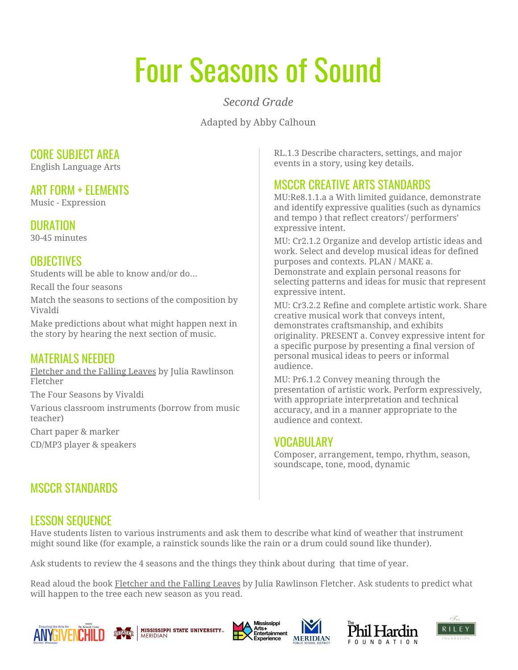# Four Seasons of Sound

*Second Grade*

Adapted by Abby Calhoun

#### CORE SUBJECT AREA

English Language Arts

#### ART FORM + ELEMENTS

Music - Expression

# DURATION

30-45 minutes

# **OBJECTIVES**

Students will be able to know and/or do…

Recall the four seasons

Match the seasons to sections of the composition by Vivaldi

Make predictions about what might happen next in the story by hearing the next section of music.

### MATERIALS NEEDED

Fletcher and the Falling Leaves by Julia Rawlinson Fletcher

The Four Seasons by Vivaldi

Various classroom instruments (borrow from music teacher)

Chart paper & marker

CD/MP3 player & speakers

# MSCCR STANDARDS

RL.1.3 Describe characters, settings, and major events in a story, using key details.

# MSCCR CREATIVE ARTS STANDARDS

MU:Re8.1.1.a a With limited guidance, demonstrate and identify expressive qualities (such as dynamics and tempo ) that reflect creators'/ performers' expressive intent.

MU: Cr2.1.2 Organize and develop artistic ideas and work. Select and develop musical ideas for defined purposes and contexts. PLAN / MAKE a. Demonstrate and explain personal reasons for selecting patterns and ideas for music that represent expressive intent.

MU: Cr3.2.2 Refine and complete artistic work. Share creative musical work that conveys intent, demonstrates craftsmanship, and exhibits originality. PRESENT a. Convey expressive intent for a specific purpose by presenting a final version of personal musical ideas to peers or informal audience.

MU: Pr6.1.2 Convey meaning through the presentation of artistic work. Perform expressively, with appropriate interpretation and technical accuracy, and in a manner appropriate to the audience and context.

### VOCABULARY

Composer, arrangement, tempo, rhythm, season, soundscape, tone, mood, dynamic

# LESSON SEQUENCE

Have students listen to various instruments and ask them to describe what kind of weather that instrument might sound like (for example, a rainstick sounds like the rain or a drum could sound like thunder).

Ask students to review the 4 seasons and the things they think about during that time of year.

Read aloud the book Fletcher and the Falling Leaves by Julia Rawlinson Fletcher. Ask students to predict what will happen to the tree each new season as you read.